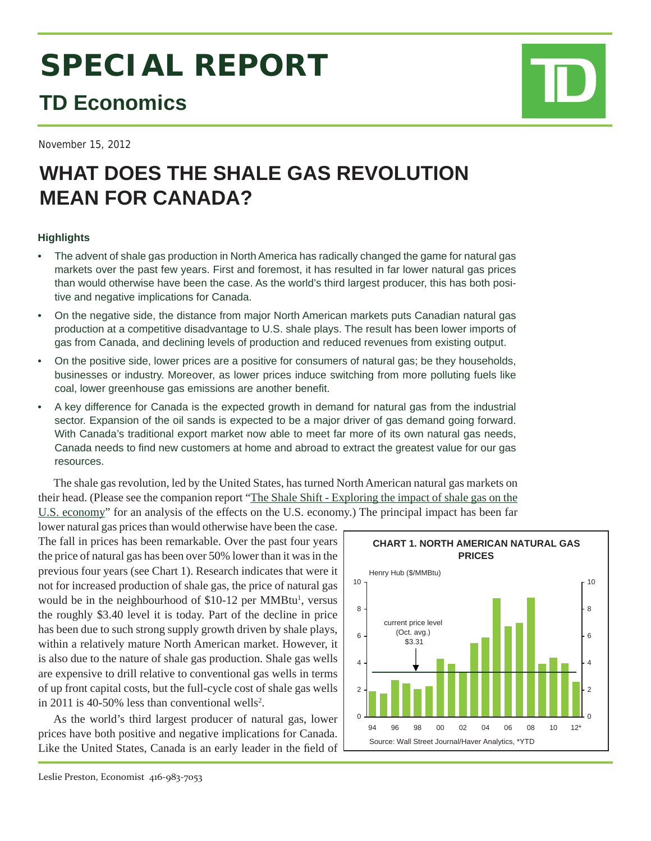# **SPECIAL REPORT**

## **TD Economics**

November 15, 2012

# **WHAT DOES THE SHALE GAS REVOLUTION MEAN FOR CANADA?**

### **Highlights**

- The advent of shale gas production in North America has radically changed the game for natural gas markets over the past few years. First and foremost, it has resulted in far lower natural gas prices than would otherwise have been the case. As the world's third largest producer, this has both positive and negative implications for Canada.
- On the negative side, the distance from major North American markets puts Canadian natural gas production at a competitive disadvantage to U.S. shale plays. The result has been lower imports of gas from Canada, and declining levels of production and reduced revenues from existing output.
- On the positive side, lower prices are a positive for consumers of natural gas; be they households, businesses or industry. Moreover, as lower prices induce switching from more polluting fuels like coal, lower greenhouse gas emissions are another benefit.
- A key difference for Canada is the expected growth in demand for natural gas from the industrial sector. Expansion of the oil sands is expected to be a major driver of gas demand going forward. With Canada's traditional export market now able to meet far more of its own natural gas needs, Canada needs to find new customers at home and abroad to extract the greatest value for our gas resources.

The shale gas revolution, led by the United States, has turned North American natural gas markets on their head. (Please see the companion report "The Shale Shift - Exploring the impact of shale gas on the U.S. economy" for an analysis of the effects on the U.S. economy.) The principal impact has been far

lower natural gas prices than would otherwise have been the case. The fall in prices has been remarkable. Over the past four years the price of natural gas has been over 50% lower than it was in the previous four years (see Chart 1). Research indicates that were it not for increased production of shale gas, the price of natural gas would be in the neighbourhood of \$10-12 per MMBtu<sup>1</sup>, versus the roughly \$3.40 level it is today. Part of the decline in price has been due to such strong supply growth driven by shale plays, within a relatively mature North American market. However, it is also due to the nature of shale gas production. Shale gas wells are expensive to drill relative to conventional gas wells in terms of up front capital costs, but the full-cycle cost of shale gas wells in 2011 is 40-50% less than conventional wells<sup>2</sup>.

As the world's third largest producer of natural gas, lower prices have both positive and negative implications for Canada. Like the United States, Canada is an early leader in the field of

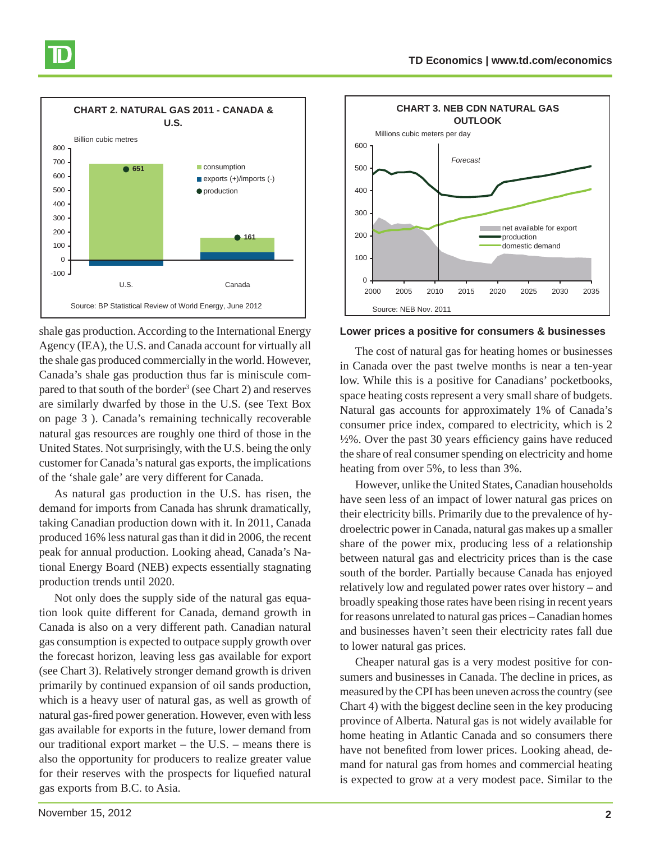

shale gas production. According to the International Energy Agency (IEA), the U.S. and Canada account for virtually all the shale gas produced commercially in the world. However, Canada's shale gas production thus far is miniscule compared to that south of the border<sup>3</sup> (see Chart 2) and reserves are similarly dwarfed by those in the U.S. (see Text Box on page 3 ). Canada's remaining technically recoverable natural gas resources are roughly one third of those in the United States. Not surprisingly, with the U.S. being the only customer for Canada's natural gas exports, the implications of the 'shale gale' are very different for Canada.

As natural gas production in the U.S. has risen, the demand for imports from Canada has shrunk dramatically, taking Canadian production down with it. In 2011, Canada produced 16% less natural gas than it did in 2006, the recent peak for annual production. Looking ahead, Canada's National Energy Board (NEB) expects essentially stagnating production trends until 2020.

Not only does the supply side of the natural gas equation look quite different for Canada, demand growth in Canada is also on a very different path. Canadian natural gas consumption is expected to outpace supply growth over the forecast horizon, leaving less gas available for export (see Chart 3). Relatively stronger demand growth is driven primarily by continued expansion of oil sands production, which is a heavy user of natural gas, as well as growth of natural gas-fired power generation. However, even with less gas available for exports in the future, lower demand from our traditional export market – the U.S. – means there is also the opportunity for producers to realize greater value for their reserves with the prospects for liquefied natural gas exports from B.C. to Asia.



**Lower prices a positive for consumers & businesses**

The cost of natural gas for heating homes or businesses in Canada over the past twelve months is near a ten-year low. While this is a positive for Canadians' pocketbooks, space heating costs represent a very small share of budgets. Natural gas accounts for approximately 1% of Canada's consumer price index, compared to electricity, which is 2  $\frac{1}{2}\%$ . Over the past 30 years efficiency gains have reduced the share of real consumer spending on electricity and home heating from over 5%, to less than 3%.

However, unlike the United States, Canadian households have seen less of an impact of lower natural gas prices on their electricity bills. Primarily due to the prevalence of hydroelectric power in Canada, natural gas makes up a smaller share of the power mix, producing less of a relationship between natural gas and electricity prices than is the case south of the border. Partially because Canada has enjoyed relatively low and regulated power rates over history – and broadly speaking those rates have been rising in recent years for reasons unrelated to natural gas prices – Canadian homes and businesses haven't seen their electricity rates fall due to lower natural gas prices.

Cheaper natural gas is a very modest positive for consumers and businesses in Canada. The decline in prices, as measured by the CPI has been uneven across the country (see Chart 4) with the biggest decline seen in the key producing province of Alberta. Natural gas is not widely available for home heating in Atlantic Canada and so consumers there have not benefited from lower prices. Looking ahead, demand for natural gas from homes and commercial heating is expected to grow at a very modest pace. Similar to the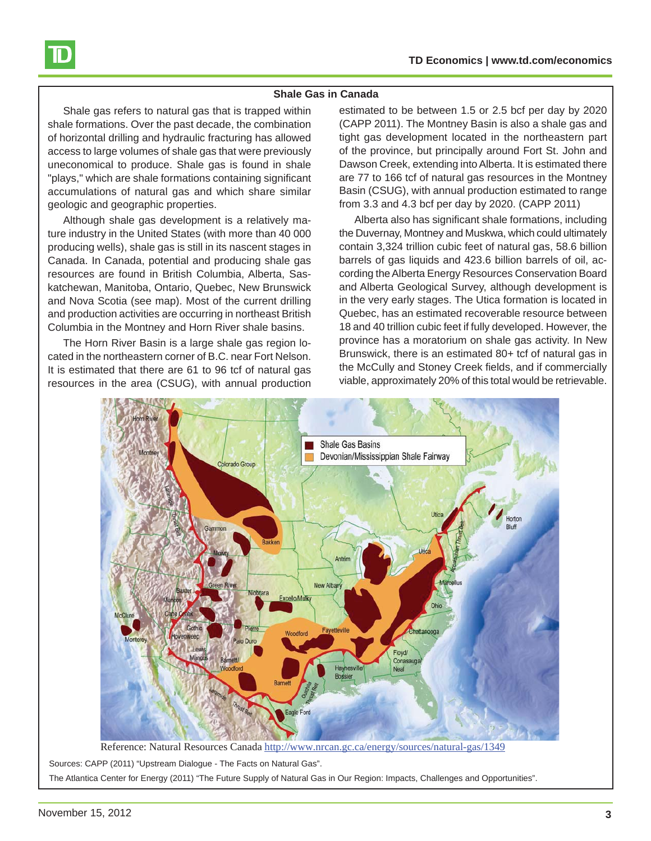

Shale gas refers to natural gas that is trapped within shale formations. Over the past decade, the combination of horizontal drilling and hydraulic fracturing has allowed access to large volumes of shale gas that were previously uneconomical to produce. Shale gas is found in shale "plays," which are shale formations containing significant accumulations of natural gas and which share similar geologic and geographic properties.

Although shale gas development is a relatively mature industry in the United States (with more than 40 000 producing wells), shale gas is still in its nascent stages in Canada. In Canada, potential and producing shale gas resources are found in British Columbia, Alberta, Saskatchewan, Manitoba, Ontario, Quebec, New Brunswick and Nova Scotia (see map). Most of the current drilling and production activities are occurring in northeast British Columbia in the Montney and Horn River shale basins.

The Horn River Basin is a large shale gas region located in the northeastern corner of B.C. near Fort Nelson. It is estimated that there are 61 to 96 tcf of natural gas resources in the area (CSUG), with annual production

estimated to be between 1.5 or 2.5 bcf per day by 2020 (CAPP 2011). The Montney Basin is also a shale gas and tight gas development located in the northeastern part of the province, but principally around Fort St. John and Dawson Creek, extending into Alberta. It is estimated there are 77 to 166 tcf of natural gas resources in the Montney Basin (CSUG), with annual production estimated to range from 3.3 and 4.3 bcf per day by 2020. (CAPP 2011)

Alberta also has significant shale formations, including the Duvernay, Montney and Muskwa, which could ultimately contain 3,324 trillion cubic feet of natural gas, 58.6 billion barrels of gas liquids and 423.6 billion barrels of oil, according the Alberta Energy Resources Conservation Board and Alberta Geological Survey, although development is in the very early stages. The Utica formation is located in Quebec, has an estimated recoverable resource between 18 and 40 trillion cubic feet if fully developed. However, the province has a moratorium on shale gas activity. In New Brunswick, there is an estimated 80+ tcf of natural gas in the McCully and Stoney Creek fields, and if commercially viable, approximately 20% of this total would be retrievable.



Reference: Natural Resources Canada http://www.nrcan.gc.ca/energy/sources/natural-gas/1349

Sources: CAPP (2011) "Upstream Dialogue - The Facts on Natural Gas".

The Atlantica Center for Energy (2011) "The Future Supply of Natural Gas in Our Region: Impacts, Challenges and Opportunities".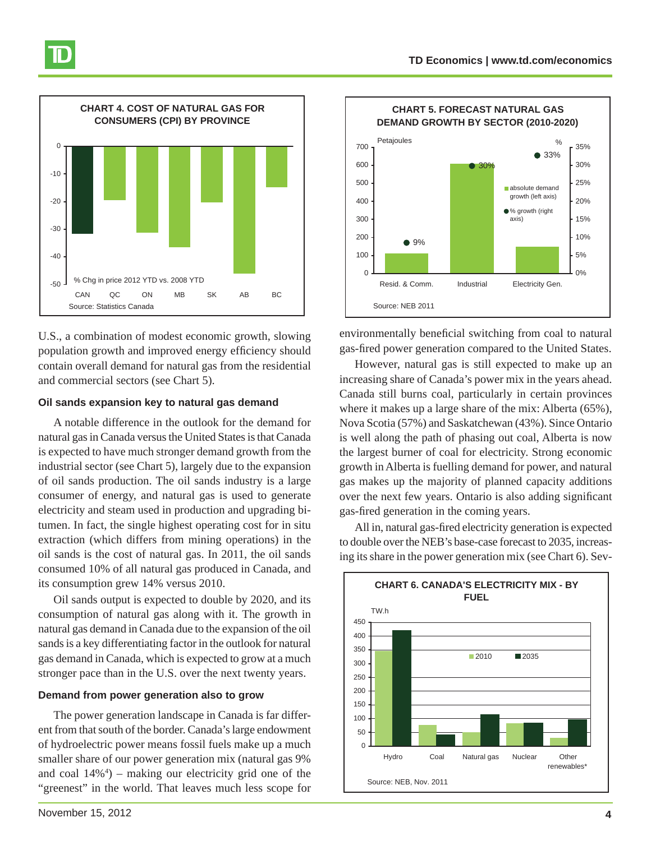

U.S., a combination of modest economic growth, slowing population growth and improved energy efficiency should contain overall demand for natural gas from the residential and commercial sectors (see Chart 5).

#### **Oil sands expansion key to natural gas demand**

A notable difference in the outlook for the demand for natural gas in Canada versus the United States is that Canada is expected to have much stronger demand growth from the industrial sector (see Chart 5), largely due to the expansion of oil sands production. The oil sands industry is a large consumer of energy, and natural gas is used to generate electricity and steam used in production and upgrading bitumen. In fact, the single highest operating cost for in situ extraction (which differs from mining operations) in the oil sands is the cost of natural gas. In 2011, the oil sands consumed 10% of all natural gas produced in Canada, and its consumption grew 14% versus 2010.

Oil sands output is expected to double by 2020, and its consumption of natural gas along with it. The growth in natural gas demand in Canada due to the expansion of the oil sands is a key differentiating factor in the outlook for natural gas demand in Canada, which is expected to grow at a much stronger pace than in the U.S. over the next twenty years.

#### **Demand from power generation also to grow**

The power generation landscape in Canada is far different from that south of the border. Canada's large endowment of hydroelectric power means fossil fuels make up a much smaller share of our power generation mix (natural gas 9% and coal 14%4 ) – making our electricity grid one of the "greenest" in the world. That leaves much less scope for



environmentally beneficial switching from coal to natural gas-fired power generation compared to the United States.

However, natural gas is still expected to make up an increasing share of Canada's power mix in the years ahead. Canada still burns coal, particularly in certain provinces where it makes up a large share of the mix: Alberta (65%), Nova Scotia (57%) and Saskatchewan (43%). Since Ontario is well along the path of phasing out coal, Alberta is now the largest burner of coal for electricity. Strong economic growth in Alberta is fuelling demand for power, and natural gas makes up the majority of planned capacity additions over the next few years. Ontario is also adding significant gas-fired generation in the coming years.

All in, natural gas-fired electricity generation is expected to double over the NEB's base-case forecast to 2035, increasing its share in the power generation mix (see Chart 6). Sev-

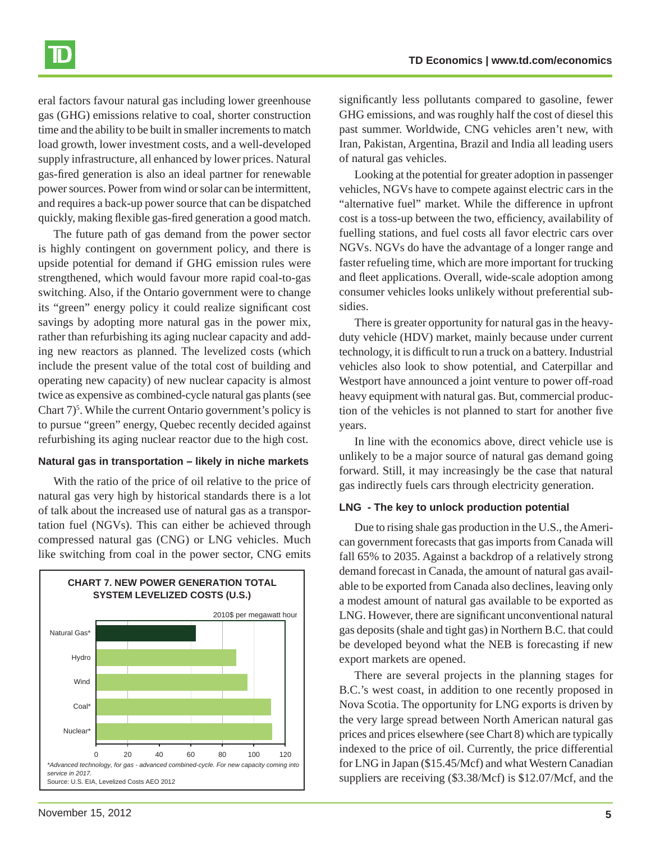eral factors favour natural gas including lower greenhouse gas (GHG) emissions relative to coal, shorter construction time and the ability to be built in smaller increments to match load growth, lower investment costs, and a well-developed supply infrastructure, all enhanced by lower prices. Natural gas-fired generation is also an ideal partner for renewable power sources. Power from wind or solar can be intermittent, and requires a back-up power source that can be dispatched quickly, making flexible gas-fired generation a good match.

The future path of gas demand from the power sector is highly contingent on government policy, and there is upside potential for demand if GHG emission rules were strengthened, which would favour more rapid coal-to-gas switching. Also, if the Ontario government were to change its "green" energy policy it could realize significant cost savings by adopting more natural gas in the power mix, rather than refurbishing its aging nuclear capacity and adding new reactors as planned. The levelized costs (which include the present value of the total cost of building and operating new capacity) of new nuclear capacity is almost twice as expensive as combined-cycle natural gas plants (see Chart  $7$ <sup>5</sup>. While the current Ontario government's policy is to pursue "green" energy, Quebec recently decided against refurbishing its aging nuclear reactor due to the high cost.

#### **Natural gas in transportation – likely in niche markets**

With the ratio of the price of oil relative to the price of natural gas very high by historical standards there is a lot of talk about the increased use of natural gas as a transportation fuel (NGVs). This can either be achieved through compressed natural gas (CNG) or LNG vehicles. Much like switching from coal in the power sector, CNG emits



significantly less pollutants compared to gasoline, fewer GHG emissions, and was roughly half the cost of diesel this past summer. Worldwide, CNG vehicles aren't new, with Iran, Pakistan, Argentina, Brazil and India all leading users of natural gas vehicles.

Looking at the potential for greater adoption in passenger vehicles, NGVs have to compete against electric cars in the "alternative fuel" market. While the difference in upfront cost is a toss-up between the two, efficiency, availability of fuelling stations, and fuel costs all favor electric cars over NGVs. NGVs do have the advantage of a longer range and faster refueling time, which are more important for trucking and fleet applications. Overall, wide-scale adoption among consumer vehicles looks unlikely without preferential subsidies.

There is greater opportunity for natural gas in the heavyduty vehicle (HDV) market, mainly because under current technology, it is difficult to run a truck on a battery. Industrial vehicles also look to show potential, and Caterpillar and Westport have announced a joint venture to power off-road heavy equipment with natural gas. But, commercial production of the vehicles is not planned to start for another five years.

In line with the economics above, direct vehicle use is unlikely to be a major source of natural gas demand going forward. Still, it may increasingly be the case that natural gas indirectly fuels cars through electricity generation.

#### **LNG - The key to unlock production potential**

Due to rising shale gas production in the U.S., the American government forecasts that gas imports from Canada will fall 65% to 2035. Against a backdrop of a relatively strong demand forecast in Canada, the amount of natural gas available to be exported from Canada also declines, leaving only a modest amount of natural gas available to be exported as LNG. However, there are significant unconventional natural gas deposits (shale and tight gas) in Northern B.C. that could be developed beyond what the NEB is forecasting if new export markets are opened.

There are several projects in the planning stages for B.C.'s west coast, in addition to one recently proposed in Nova Scotia. The opportunity for LNG exports is driven by the very large spread between North American natural gas prices and prices elsewhere (see Chart 8) which are typically indexed to the price of oil. Currently, the price differential for LNG in Japan (\$15.45/Mcf) and what Western Canadian suppliers are receiving (\$3.38/Mcf) is \$12.07/Mcf, and the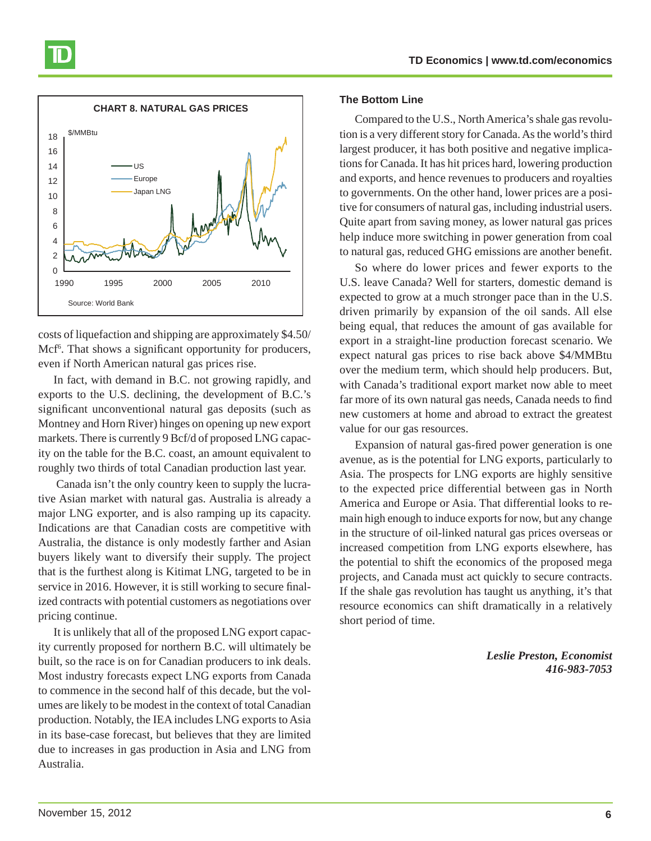

costs of liquefaction and shipping are approximately \$4.50/ Mcf<sup>6</sup>. That shows a significant opportunity for producers, even if North American natural gas prices rise.

In fact, with demand in B.C. not growing rapidly, and exports to the U.S. declining, the development of B.C.'s significant unconventional natural gas deposits (such as Montney and Horn River) hinges on opening up new export markets. There is currently 9 Bcf/d of proposed LNG capacity on the table for the B.C. coast, an amount equivalent to roughly two thirds of total Canadian production last year.

 Canada isn't the only country keen to supply the lucrative Asian market with natural gas. Australia is already a major LNG exporter, and is also ramping up its capacity. Indications are that Canadian costs are competitive with Australia, the distance is only modestly farther and Asian buyers likely want to diversify their supply. The project that is the furthest along is Kitimat LNG, targeted to be in service in 2016. However, it is still working to secure finalized contracts with potential customers as negotiations over pricing continue.

It is unlikely that all of the proposed LNG export capacity currently proposed for northern B.C. will ultimately be built, so the race is on for Canadian producers to ink deals. Most industry forecasts expect LNG exports from Canada to commence in the second half of this decade, but the volumes are likely to be modest in the context of total Canadian production. Notably, the IEA includes LNG exports to Asia in its base-case forecast, but believes that they are limited due to increases in gas production in Asia and LNG from Australia.

#### **The Bottom Line**

Compared to the U.S., North America's shale gas revolution is a very different story for Canada. As the world's third largest producer, it has both positive and negative implications for Canada. It has hit prices hard, lowering production and exports, and hence revenues to producers and royalties to governments. On the other hand, lower prices are a positive for consumers of natural gas, including industrial users. Quite apart from saving money, as lower natural gas prices help induce more switching in power generation from coal to natural gas, reduced GHG emissions are another benefit.

So where do lower prices and fewer exports to the U.S. leave Canada? Well for starters, domestic demand is expected to grow at a much stronger pace than in the U.S. driven primarily by expansion of the oil sands. All else being equal, that reduces the amount of gas available for export in a straight-line production forecast scenario. We expect natural gas prices to rise back above \$4/MMBtu over the medium term, which should help producers. But, with Canada's traditional export market now able to meet far more of its own natural gas needs, Canada needs to find new customers at home and abroad to extract the greatest value for our gas resources.

Expansion of natural gas-fired power generation is one avenue, as is the potential for LNG exports, particularly to Asia. The prospects for LNG exports are highly sensitive to the expected price differential between gas in North America and Europe or Asia. That differential looks to remain high enough to induce exports for now, but any change in the structure of oil-linked natural gas prices overseas or increased competition from LNG exports elsewhere, has the potential to shift the economics of the proposed mega projects, and Canada must act quickly to secure contracts. If the shale gas revolution has taught us anything, it's that resource economics can shift dramatically in a relatively short period of time.

> *Leslie Preston, Economist 416-983-7053*